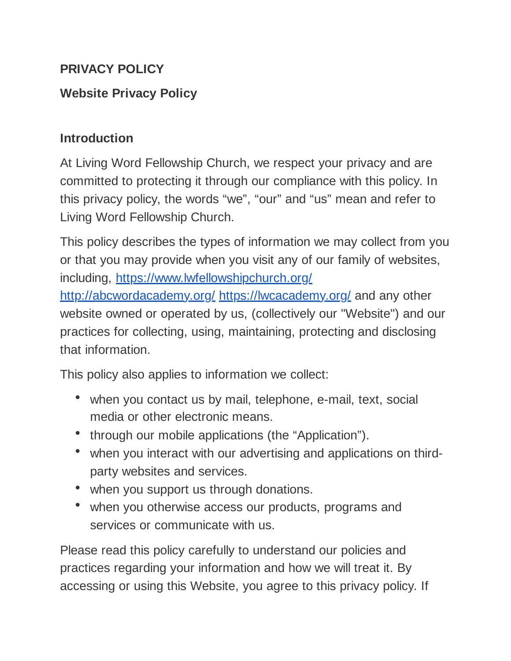### **PRIVACY POLICY**

# **Website Privacy Policy**

### **Introduction**

At Living Word Fellowship Church, we respect your privacy and are committed to protecting it through our compliance with this policy. In this privacy policy, the words "we", "our" and "us" mean and refer to Living Word Fellowship Church.

This policy describes the types of information we may collect from you or that you may provide when you visit any of our family of websites, including, <https://www.lwfellowshipchurch.org/> <http://abcwordacademy.org/> <https://lwcacademy.org/> and any other website owned or operated by us, (collectively our "Website") and our practices for collecting, using, maintaining, protecting and disclosing that information.

This policy also applies to information we collect:

- when you contact us by mail, telephone, e-mail, text, social media or other electronic means.
- through our mobile applications (the "Application").
- when you interact with our advertising and applications on thirdparty websites and services.
- when you support us through donations.
- when you otherwise access our products, programs and services or communicate with us.

Please read this policy carefully to understand our policies and practices regarding your information and how we will treat it. By accessing or using this Website, you agree to this privacy policy. If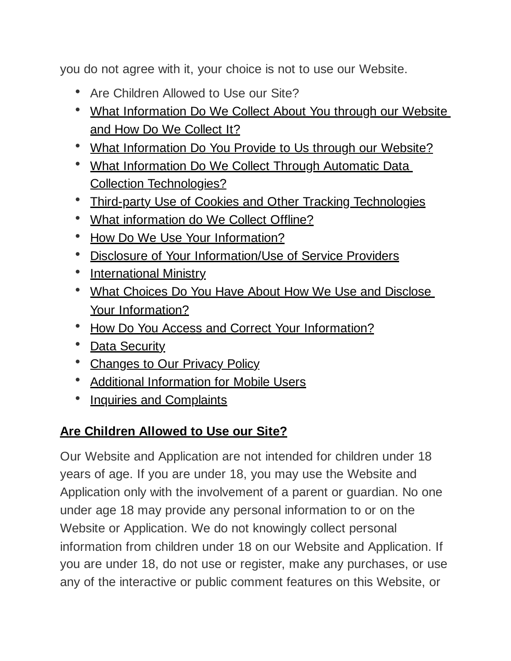you do not agree with it, your choice is not to use our Website.

- Are Children Allowed to Use our Site?
- What Information Do We Collect About You through our Website and How Do We Collect It?
- What Information Do You Provide to Us through our Website?
- What Information Do We Collect Through Automatic Data Collection Technologies?
- Third-party Use of Cookies and Other Tracking Technologies
- What information do We Collect Offline?
- How Do We Use Your Information?
- Disclosure of Your Information/Use of Service Providers
- International Ministry
- What Choices Do You Have About How We Use and Disclose Your Information?
- How Do You Access and Correct Your Information?
- Data Security
- Changes to Our Privacy Policy
- Additional Information for Mobile Users
- Inquiries and Complaints

# **Are Children Allowed to Use our Site?**

Our Website and Application are not intended for children under 18 years of age. If you are under 18, you may use the Website and Application only with the involvement of a parent or guardian. No one under age 18 may provide any personal information to or on the Website or Application. We do not knowingly collect personal information from children under 18 on our Website and Application. If you are under 18, do not use or register, make any purchases, or use any of the interactive or public comment features on this Website, or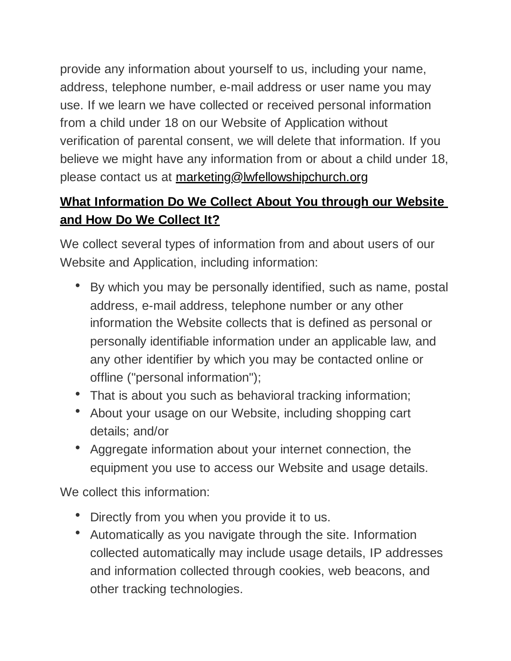provide any information about yourself to us, including your name, address, telephone number, e-mail address or user name you may use. If we learn we have collected or received personal information from a child under 18 on our Website of Application without verification of parental consent, we will delete that information. If you believe we might have any information from or about a child under 18, please contact us at marketing@lwfellowshipchurch.org

# **What Information Do We Collect About You through our Website and How Do We Collect It?**

We collect several types of information from and about users of our Website and Application, including information:

- By which you may be personally identified, such as name, postal address, e-mail address, telephone number or any other information the Website collects that is defined as personal or personally identifiable information under an applicable law, and any other identifier by which you may be contacted online or offline ("personal information");
- That is about you such as behavioral tracking information;
- About your usage on our Website, including shopping cart details; and/or
- Aggregate information about your internet connection, the equipment you use to access our Website and usage details.

We collect this information:

- Directly from you when you provide it to us.
- Automatically as you navigate through the site. Information collected automatically may include usage details, IP addresses and information collected through cookies, web beacons, and other tracking technologies.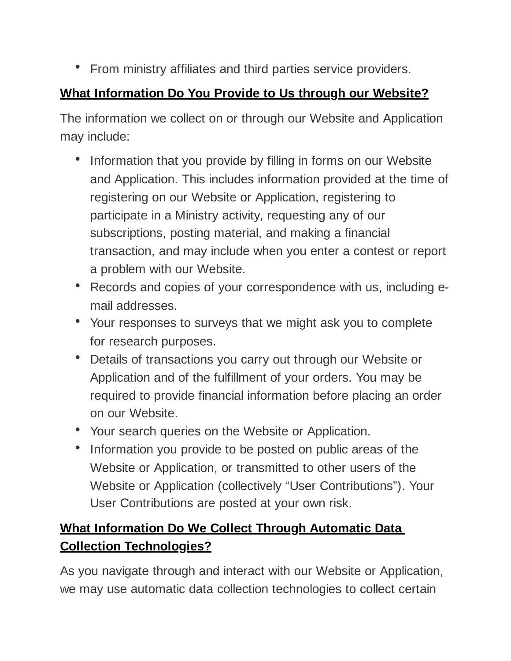• From ministry affiliates and third parties service providers.

# **What Information Do You Provide to Us through our Website?**

The information we collect on or through our Website and Application may include:

- Information that you provide by filling in forms on our Website and Application. This includes information provided at the time of registering on our Website or Application, registering to participate in a Ministry activity, requesting any of our subscriptions, posting material, and making a financial transaction, and may include when you enter a contest or report a problem with our Website.
- Records and copies of your correspondence with us, including email addresses.
- Your responses to surveys that we might ask you to complete for research purposes.
- Details of transactions you carry out through our Website or Application and of the fulfillment of your orders. You may be required to provide financial information before placing an order on our Website.
- Your search queries on the Website or Application.
- Information you provide to be posted on public areas of the Website or Application, or transmitted to other users of the Website or Application (collectively "User Contributions"). Your User Contributions are posted at your own risk.

# **What Information Do We Collect Through Automatic Data Collection Technologies?**

As you navigate through and interact with our Website or Application, we may use automatic data collection technologies to collect certain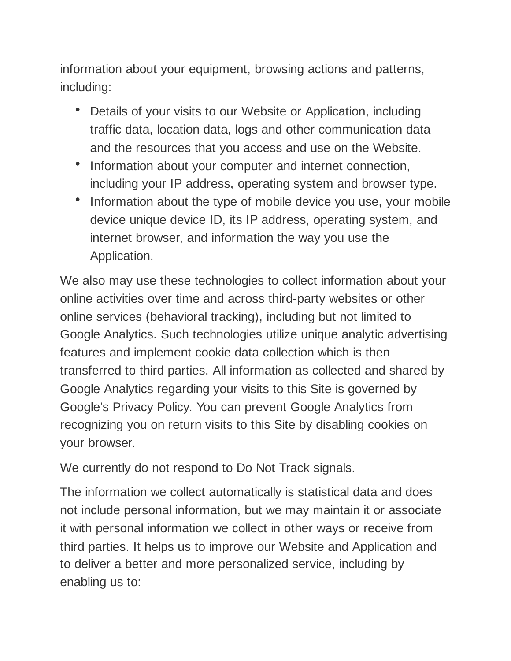information about your equipment, browsing actions and patterns, including:

- Details of your visits to our Website or Application, including traffic data, location data, logs and other communication data and the resources that you access and use on the Website.
- Information about your computer and internet connection, including your IP address, operating system and browser type.
- Information about the type of mobile device you use, your mobile device unique device ID, its IP address, operating system, and internet browser, and information the way you use the Application.

We also may use these technologies to collect information about your online activities over time and across third-party websites or other online services (behavioral tracking), including but not limited to Google Analytics. Such technologies utilize unique analytic advertising features and implement cookie data collection which is then transferred to third parties. All information as collected and shared by Google Analytics regarding your visits to this Site is governed by Google's Privacy Policy. You can prevent Google Analytics from recognizing you on return visits to this Site by disabling cookies on your browser.

We currently do not respond to Do Not Track signals.

The information we collect automatically is statistical data and does not include personal information, but we may maintain it or associate it with personal information we collect in other ways or receive from third parties. It helps us to improve our Website and Application and to deliver a better and more personalized service, including by enabling us to: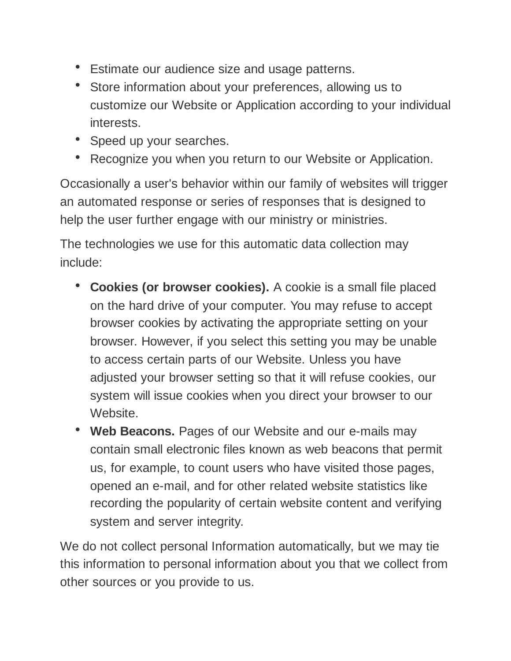- Estimate our audience size and usage patterns.
- Store information about your preferences, allowing us to customize our Website or Application according to your individual interests.
- Speed up your searches.
- Recognize you when you return to our Website or Application.

Occasionally a user's behavior within our family of websites will trigger an automated response or series of responses that is designed to help the user further engage with our ministry or ministries.

The technologies we use for this automatic data collection may include:

- **Cookies (or browser cookies).** A cookie is a small file placed on the hard drive of your computer. You may refuse to accept browser cookies by activating the appropriate setting on your browser. However, if you select this setting you may be unable to access certain parts of our Website. Unless you have adjusted your browser setting so that it will refuse cookies, our system will issue cookies when you direct your browser to our Website.
- Web Beacons. Pages of our Website and our e-mails may contain small electronic files known as web beacons that permit us, for example, to count users who have visited those pages, opened an e-mail, and for other related website statistics like recording the popularity of certain website content and verifying system and server integrity.

We do not collect personal Information automatically, but we may tie this information to personal information about you that we collect from other sources or you provide to us.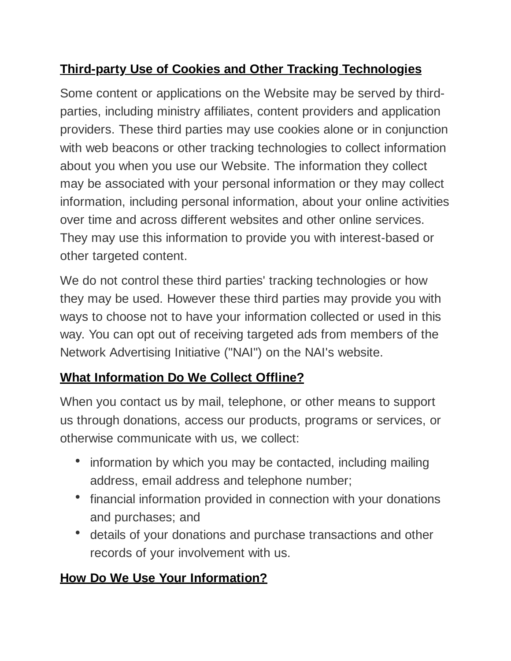# **Third-party Use of Cookies and Other Tracking Technologies**

Some content or applications on the Website may be served by thirdparties, including ministry affiliates, content providers and application providers. These third parties may use cookies alone or in conjunction with web beacons or other tracking technologies to collect information about you when you use our Website. The information they collect may be associated with your personal information or they may collect information, including personal information, about your online activities over time and across different websites and other online services. They may use this information to provide you with interest-based or other targeted content.

We do not control these third parties' tracking technologies or how they may be used. However these third parties may provide you with ways to choose not to have your information collected or used in this way. You can opt out of receiving targeted ads from members of the Network Advertising Initiative ("NAI") on the NAI's website.

# **What Information Do We Collect Offline?**

When you contact us by mail, telephone, or other means to support us through donations, access our products, programs or services, or otherwise communicate with us, we collect:

- information by which you may be contacted, including mailing address, email address and telephone number;
- financial information provided in connection with your donations and purchases; and
- details of your donations and purchase transactions and other records of your involvement with us.

# **How Do We Use Your Information?**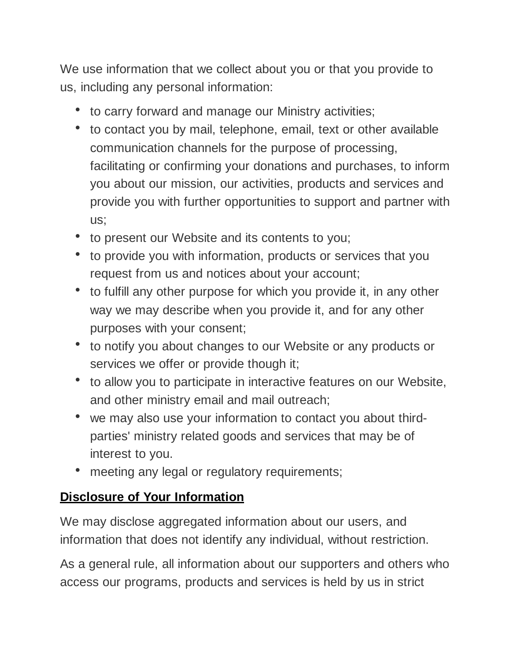We use information that we collect about you or that you provide to us, including any personal information:

- to carry forward and manage our Ministry activities;
- to contact you by mail, telephone, email, text or other available communication channels for the purpose of processing, facilitating or confirming your donations and purchases, to inform you about our mission, our activities, products and services and provide you with further opportunities to support and partner with us;
- to present our Website and its contents to you;
- to provide you with information, products or services that you request from us and notices about your account;
- to fulfill any other purpose for which you provide it, in any other way we may describe when you provide it, and for any other purposes with your consent;
- to notify you about changes to our Website or any products or services we offer or provide though it;
- to allow you to participate in interactive features on our Website, and other ministry email and mail outreach;
- we may also use your information to contact you about thirdparties' ministry related goods and services that may be of interest to you.
- meeting any legal or regulatory requirements;

# **Disclosure of Your Information**

We may disclose aggregated information about our users, and information that does not identify any individual, without restriction.

As a general rule, all information about our supporters and others who access our programs, products and services is held by us in strict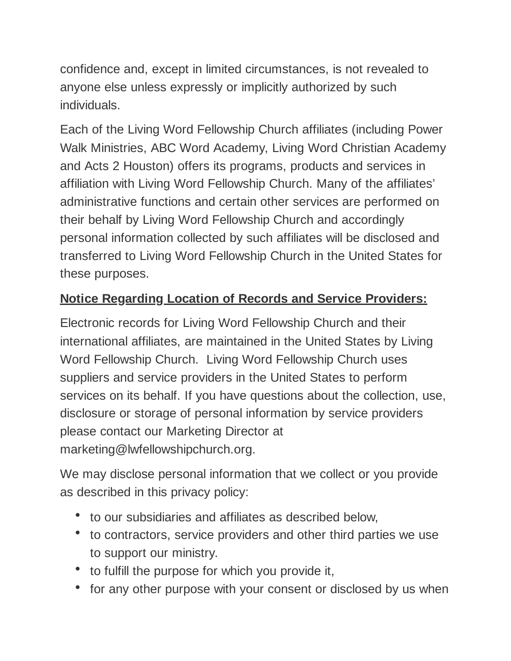confidence and, except in limited circumstances, is not revealed to anyone else unless expressly or implicitly authorized by such individuals.

Each of the Living Word Fellowship Church affiliates (including Power Walk Ministries, ABC Word Academy, Living Word Christian Academy and Acts 2 Houston) offers its programs, products and services in affiliation with Living Word Fellowship Church. Many of the affiliates' administrative functions and certain other services are performed on their behalf by Living Word Fellowship Church and accordingly personal information collected by such affiliates will be disclosed and transferred to Living Word Fellowship Church in the United States for these purposes.

# **Notice Regarding Location of Records and Service Providers:**

Electronic records for Living Word Fellowship Church and their international affiliates, are maintained in the United States by Living Word Fellowship Church. Living Word Fellowship Church uses suppliers and service providers in the United States to perform services on its behalf. If you have questions about the collection, use, disclosure or storage of personal information by service providers please contact our Marketing Director at marketing@lwfellowshipchurch.org.

We may disclose personal information that we collect or you provide as described in this privacy policy:

- to our subsidiaries and affiliates as described below,
- to contractors, service providers and other third parties we use to support our ministry.
- to fulfill the purpose for which you provide it,
- for any other purpose with your consent or disclosed by us when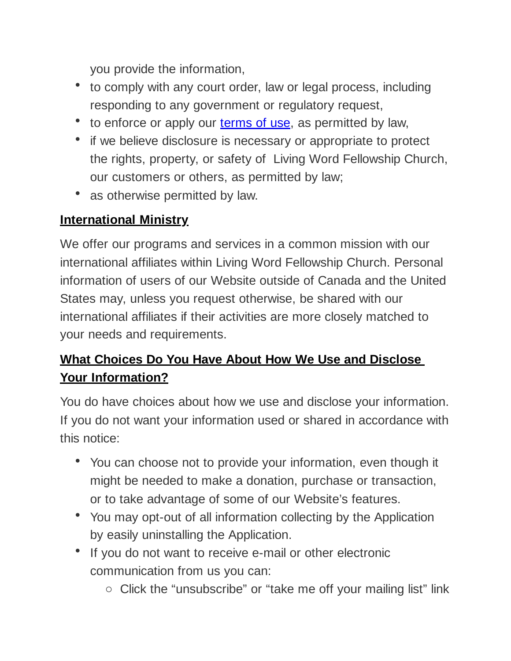you provide the information,

- to comply with any court order, law or legal process, including responding to any government or regulatory request,
- to enforce or apply our **[terms of](https://www.lakewoodchurch.com/terms-of-use) use**, as permitted by law,
- if we believe disclosure is necessary or appropriate to protect the rights, property, or safety of Living Word Fellowship Church, our customers or others, as permitted by law;
- as otherwise permitted by law.

### **International Ministry**

We offer our programs and services in a common mission with our international affiliates within Living Word Fellowship Church. Personal information of users of our Website outside of Canada and the United States may, unless you request otherwise, be shared with our international affiliates if their activities are more closely matched to your needs and requirements.

# **What Choices Do You Have About How We Use and Disclose Your Information?**

You do have choices about how we use and disclose your information. If you do not want your information used or shared in accordance with this notice:

- You can choose not to provide your information, even though it might be needed to make a donation, purchase or transaction, or to take advantage of some of our Website's features.
- You may opt-out of all information collecting by the Application by easily uninstalling the Application.
- If you do not want to receive e-mail or other electronic communication from us you can:
	- Click the "unsubscribe" or "take me off your mailing list" link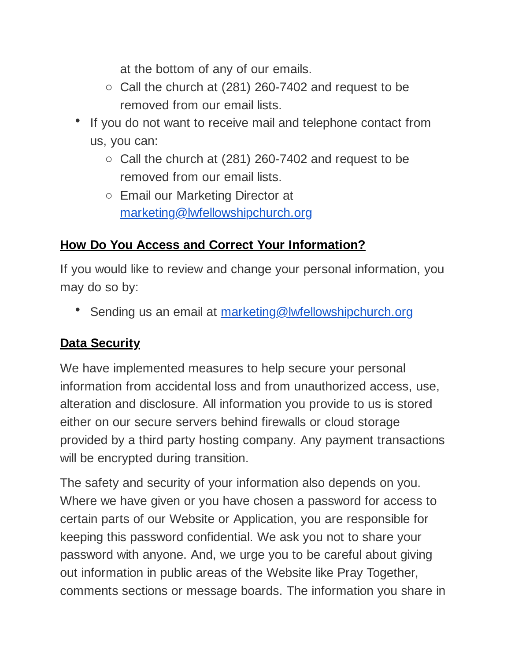at the bottom of any of our emails.

- $\circ$  Call the church at (281) 260-7402 and request to be removed from our email lists.
- If you do not want to receive mail and telephone contact from us, you can:
	- $\circ$  Call the church at (281) 260-7402 and request to be removed from our email lists.
	- Email our Marketing Director at [marketing@lwfellowshipchurch.org](mailto:marketing@lwfellowshipchurch.org)

### **How Do You Access and Correct Your Information?**

If you would like to review and change your personal information, you may do so by:

• Sending us an email at [marketing@lwfellowshipchurch.org](mailto:marketing@lwfellowshipchurch.org)

### **Data Security**

We have implemented measures to help secure your personal information from accidental loss and from unauthorized access, use, alteration and disclosure. All information you provide to us is stored either on our secure servers behind firewalls or cloud storage provided by a third party hosting company. Any payment transactions will be encrypted during transition.

The safety and security of your information also depends on you. Where we have given or you have chosen a password for access to certain parts of our Website or Application, you are responsible for keeping this password confidential. We ask you not to share your password with anyone. And, we urge you to be careful about giving out information in public areas of the Website like Pray Together, comments sections or message boards. The information you share in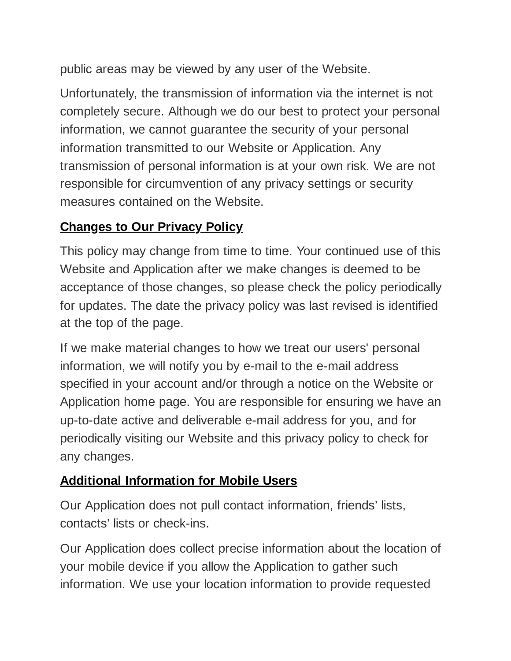public areas may be viewed by any user of the Website.

Unfortunately, the transmission of information via the internet is not completely secure. Although we do our best to protect your personal information, we cannot guarantee the security of your personal information transmitted to our Website or Application. Any transmission of personal information is at your own risk. We are not responsible for circumvention of any privacy settings or security measures contained on the Website.

### **Changes to Our Privacy Policy**

This policy may change from time to time. Your continued use of this Website and Application after we make changes is deemed to be acceptance of those changes, so please check the policy periodically for updates. The date the privacy policy was last revised is identified at the top of the page.

If we make material changes to how we treat our users' personal information, we will notify you by e-mail to the e-mail address specified in your account and/or through a notice on the Website or Application home page. You are responsible for ensuring we have an up-to-date active and deliverable e-mail address for you, and for periodically visiting our Website and this privacy policy to check for any changes.

# **Additional Information for Mobile Users**

Our Application does not pull contact information, friends' lists, contacts' lists or check-ins.

Our Application does collect precise information about the location of your mobile device if you allow the Application to gather such information. We use your location information to provide requested